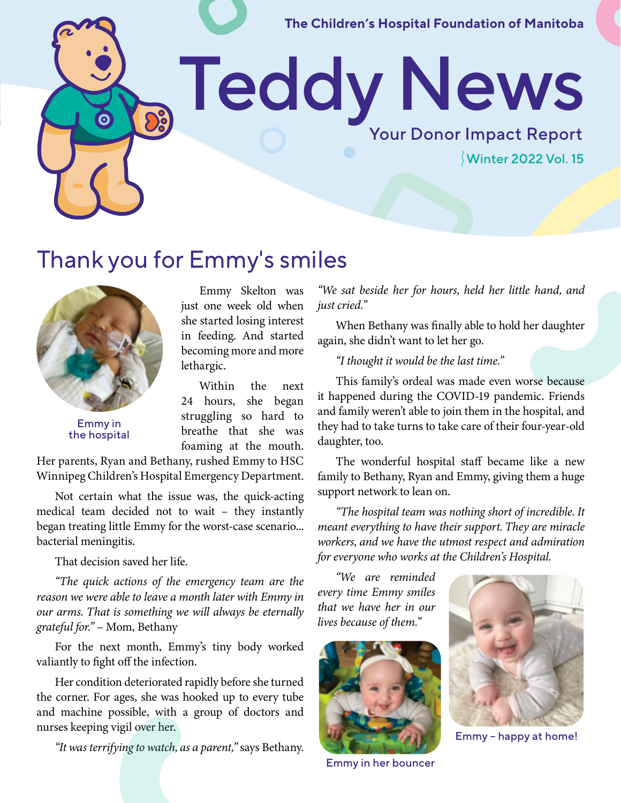**The Children's Hospital Foundation of Manitoba** 

Teddy News

Thank you for Emmy's smiles

Emmy in the hospital

Emmy Skelton was just one week old when she started losing interest in feeding. And started becoming more and more lethargic.

Within the next 24 hours, she began struggling so hard to breathe that she was foaming at the mouth.

Her parents, Ryan and Bethany, rushed Emmy to HSC Winnipeg Children's Hospital Emergency Department.

Not certain what the issue was, the quick-acting medical team decided not to wait – they instantly began treating little Emmy for the worst-case scenario... bacterial meningitis.

That decision saved her life.

*"The quick actions of the emergency team are the reason we were able to leave a month later with Emmy in our arms. That is something we will always be eternally grateful for."* – Mom, Bethany

For the next month, Emmy's tiny body worked valiantly to fight off the infection.

Her condition deteriorated rapidly before she turned the corner. For ages, she was hooked up to every tube and machine possible, with a group of doctors and nurses keeping vigil over her.

*"It was terrifying to watch, as a parent,"* says Bethany.

*"We sat beside her for hours, held her little hand, and just cried."*

Your Donor Impact Report

Winter 2022 Vol. 15

When Bethany was finally able to hold her daughter again, she didn't want to let her go.

*"I thought it would be the last time."*

This family's ordeal was made even worse because it happened during the COVID-19 pandemic. Friends and family weren't able to join them in the hospital, and they had to take turns to take care of their four-year-old daughter, too.

The wonderful hospital staff became like a new family to Bethany, Ryan and Emmy, giving them a huge support network to lean on.

*"The hospital team was nothing short of incredible. It meant everything to have their support. They are miracle workers, and we have the utmost respect and admiration for everyone who works at the Children's Hospital.*

*"We are reminded every time Emmy smiles that we have her in our lives because of them."*



Emmy in her bouncer



Emmy – happy at home!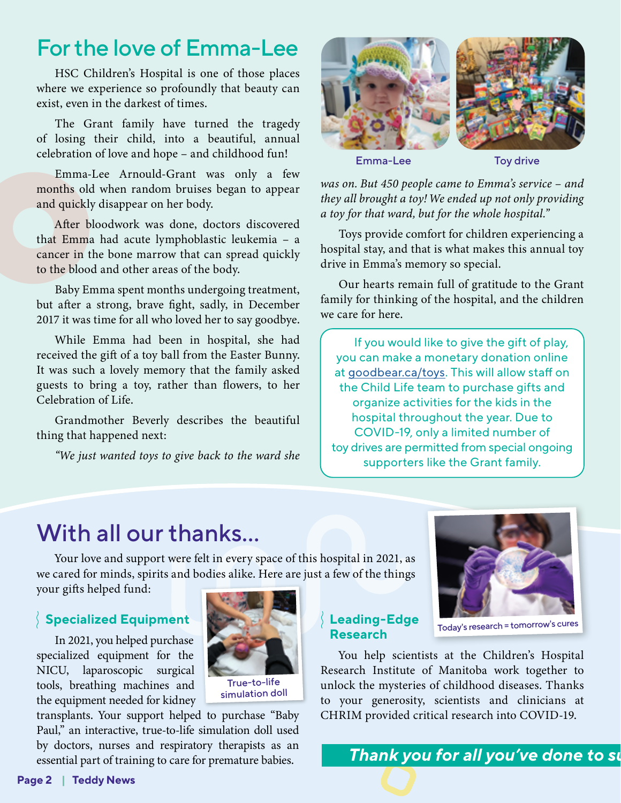## For the love of Emma-Lee

HSC Children's Hospital is one of those places where we experience so profoundly that beauty can exist, even in the darkest of times.

The Grant family have turned the tragedy of losing their child, into a beautiful, annual celebration of love and hope – and childhood fun!

Emma-Lee Arnould-Grant was only a few months old when random bruises began to appear and quickly disappear on her body.

After bloodwork was done, doctors discovered that Emma had acute lymphoblastic leukemia – a cancer in the bone marrow that can spread quickly to the blood and other areas of the body.

Baby Emma spent months undergoing treatment, but after a strong, brave fight, sadly, in December 2017 it was time for all who loved her to say goodbye.

While Emma had been in hospital, she had received the gift of a toy ball from the Easter Bunny. It was such a lovely memory that the family asked guests to bring a toy, rather than flowers, to her Celebration of Life.

Grandmother Beverly describes the beautiful thing that happened next:

*"We just wanted toys to give back to the ward she* 



*was on. But 450 people came to Emma's service – and they all brought a toy! We ended up not only providing a toy for that ward, but for the whole hospital."*

Toys provide comfort for children experiencing a hospital stay, and that is what makes this annual toy drive in Emma's memory so special.

Our hearts remain full of gratitude to the Grant family for thinking of the hospital, and the children we care for here.

If you would like to give the gift of play, you can make a monetary donation online at [goodbear.ca/toys](http://goodbear.ca/toys). This will allow staff on the Child Life team to purchase gifts and organize activities for the kids in the hospital throughout the year. Due to COVID-19, only a limited number of toy drives are permitted from special ongoing supporters like the Grant family.

# With all our thanks...

Your love and support were felt in every space of this hospital in 2021, as we cared for minds, spirits and bodies alike. Here are just a few of the things your gifts helped fund:

#### **Specialized Equipment**

In 2021, you helped purchase specialized equipment for the NICU, laparoscopic surgical tools, breathing machines and the equipment needed for kidney



simulation doll

transplants. Your support helped to purchase "Baby Paul," an interactive, true-to-life simulation doll used by doctors, nurses and respiratory therapists as an essential part of training to care for premature babies.

### **Leading-Edge Research**



Today's research = tomorrow's cures

You help scientists at the Children's Hospital Research Institute of Manitoba work together to unlock the mysteries of childhood diseases. Thanks to your generosity, scientists and clinicians at CHRIM provided critical research into COVID-19.

*Thank you for all you've done to su*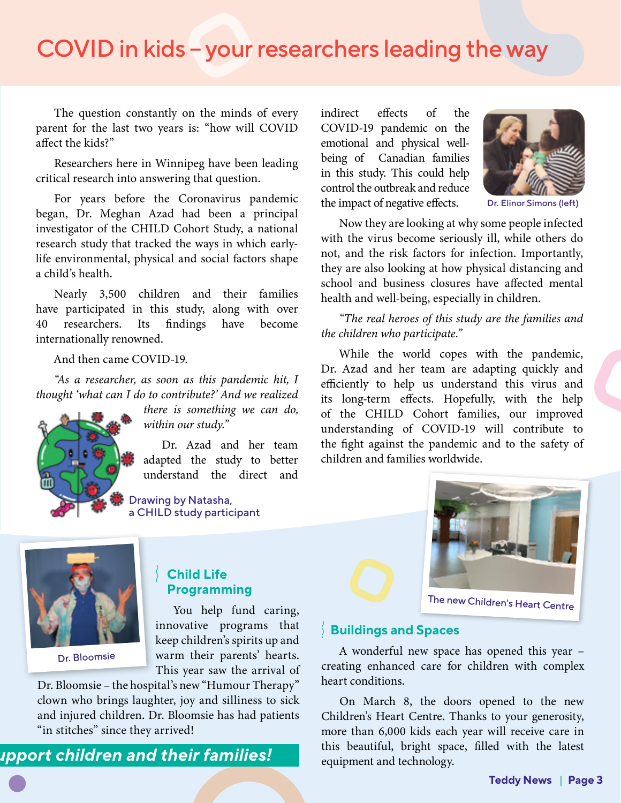# COVID in kids – your researchers leading the way

The question constantly on the minds of every parent for the last two years is: "how will COVID affect the kids?"

Researchers here in Winnipeg have been leading critical research into answering that question.

For years before the Coronavirus pandemic began, Dr. Meghan Azad had been a principal investigator of the CHILD Cohort Study, a national research study that tracked the ways in which earlylife environmental, physical and social factors shape a child's health.

Nearly 3,500 children and their families have participated in this study, along with over 40 researchers. Its findings have become internationally renowned.

And then came COVID-19.

*"As a researcher, as soon as this pandemic hit, I thought 'what can I do to contribute?' And we realized* 



*there is something we can do, within our study."*

Dr. Azad and her team adapted the study to better understand the direct and

Drawing by Natasha, a CHILD study participant indirect effects of the COVID-19 pandemic on the emotional and physical wellbeing of Canadian families in this study. This could help control the outbreak and reduce the impact of negative effects.



Dr. Elinor Simons (left)

Now they are looking at why some people infected with the virus become seriously ill, while others do not, and the risk factors for infection. Importantly, they are also looking at how physical distancing and school and business closures have affected mental health and well-being, especially in children.

*"The real heroes of this study are the families and the children who participate."*

While the world copes with the pandemic, Dr. Azad and her team are adapting quickly and efficiently to help us understand this virus and its long-term effects. Hopefully, with the help of the CHILD Cohort families, our improved understanding of COVID-19 will contribute to the fight against the pandemic and to the safety of children and families worldwide.



Dr. Bloomsie

#### **Child Life Programming**

You help fund caring, innovative programs that keep children's spirits up and warm their parents' hearts. This year saw the arrival of

Dr. Bloomsie – the hospital's new "Humour Therapy" clown who brings laughter, joy and silliness to sick and injured children. Dr. Bloomsie has had patients "in stitches" since they arrived!





The new Children's Heart Centre

#### **Buildings and Spaces**

A wonderful new space has opened this year – creating enhanced care for children with complex heart conditions.

On March 8, the doors opened to the new Children's Heart Centre. Thanks to your generosity, more than 6,000 kids each year will receive care in **upport children and their families!** This beautiful, bright space, filled with the latest equipment and technology.